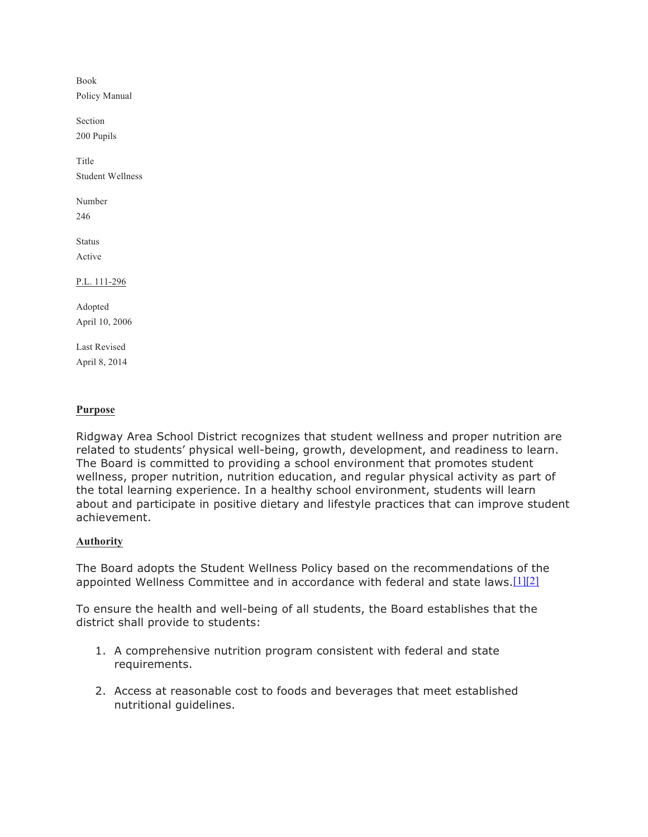Book Policy Manual Section 200 Pupils **Title** Student Wellness Number 246 **Status** Active P.L. 111-296 Adopted April 10, 2006

Last Revised April 8, 2014

## **Purpose**

Ridgway Area School District recognizes that student wellness and proper nutrition are related to students' physical well-being, growth, development, and readiness to learn. The Board is committed to providing a school environment that promotes student wellness, proper nutrition, nutrition education, and regular physical activity as part of the total learning experience. In a healthy school environment, students will learn about and participate in positive dietary and lifestyle practices that can improve student achievement.

## **Authority**

The Board adopts the Student Wellness Policy based on the recommendations of the appointed Wellness Committee and in accordance with federal and state laws.[1][2]

To ensure the health and well-being of all students, the Board establishes that the district shall provide to students:

- 1. A comprehensive nutrition program consistent with federal and state requirements.
- 2. Access at reasonable cost to foods and beverages that meet established nutritional guidelines.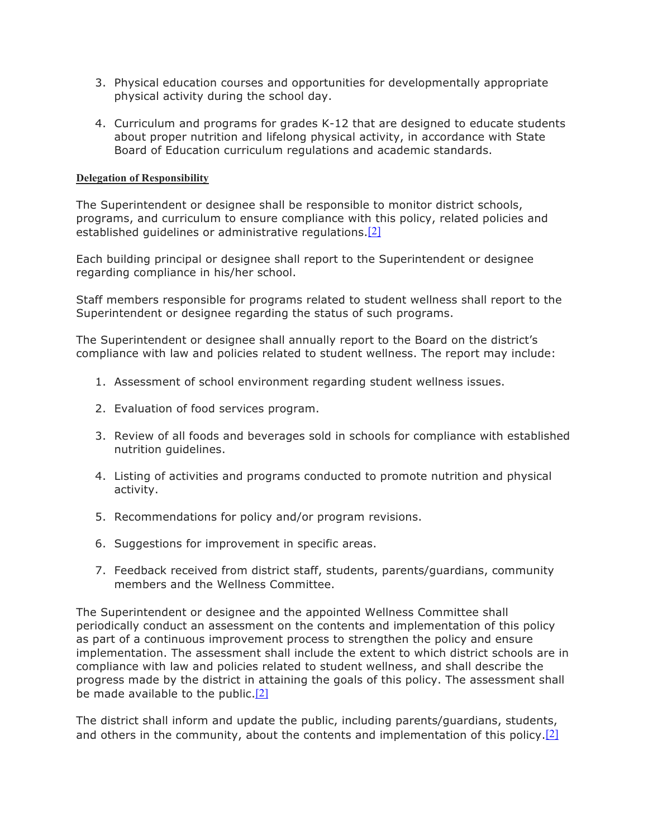- 3. Physical education courses and opportunities for developmentally appropriate physical activity during the school day.
- 4. Curriculum and programs for grades K-12 that are designed to educate students about proper nutrition and lifelong physical activity, in accordance with State Board of Education curriculum regulations and academic standards.

# **Delegation of Responsibility**

The Superintendent or designee shall be responsible to monitor district schools, programs, and curriculum to ensure compliance with this policy, related policies and established quidelines or administrative regulations.<sup>[2]</sup>

Each building principal or designee shall report to the Superintendent or designee regarding compliance in his/her school.

Staff members responsible for programs related to student wellness shall report to the Superintendent or designee regarding the status of such programs.

The Superintendent or designee shall annually report to the Board on the district's compliance with law and policies related to student wellness. The report may include:

- 1. Assessment of school environment regarding student wellness issues.
- 2. Evaluation of food services program.
- 3. Review of all foods and beverages sold in schools for compliance with established nutrition guidelines.
- 4. Listing of activities and programs conducted to promote nutrition and physical activity.
- 5. Recommendations for policy and/or program revisions.
- 6. Suggestions for improvement in specific areas.
- 7. Feedback received from district staff, students, parents/guardians, community members and the Wellness Committee.

The Superintendent or designee and the appointed Wellness Committee shall periodically conduct an assessment on the contents and implementation of this policy as part of a continuous improvement process to strengthen the policy and ensure implementation. The assessment shall include the extent to which district schools are in compliance with law and policies related to student wellness, and shall describe the progress made by the district in attaining the goals of this policy. The assessment shall be made available to the public. $[2]$ 

The district shall inform and update the public, including parents/guardians, students, and others in the community, about the contents and implementation of this policy. $[2]$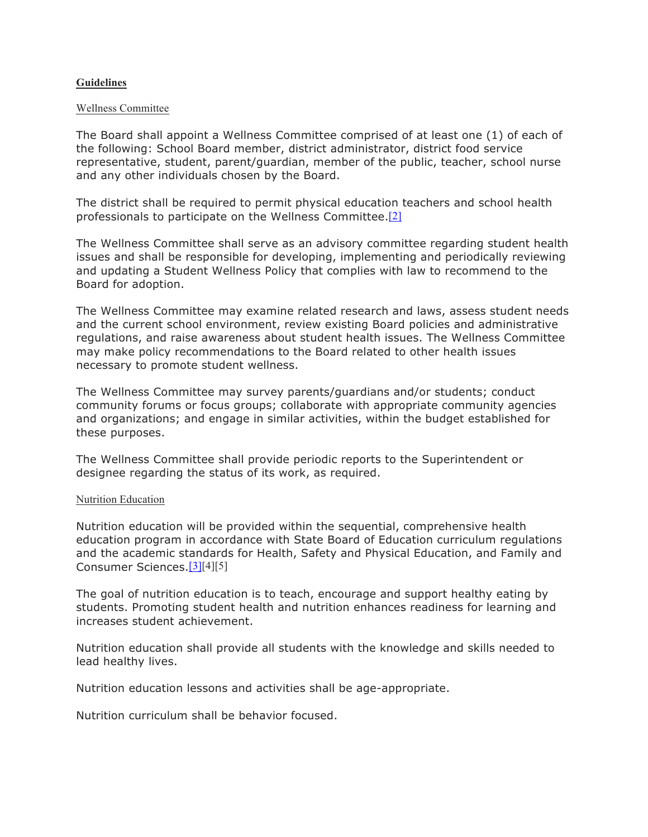## **Guidelines**

#### Wellness Committee

The Board shall appoint a Wellness Committee comprised of at least one (1) of each of the following: School Board member, district administrator, district food service representative, student, parent/guardian, member of the public, teacher, school nurse and any other individuals chosen by the Board.

The district shall be required to permit physical education teachers and school health professionals to participate on the Wellness Committee.[2]

The Wellness Committee shall serve as an advisory committee regarding student health issues and shall be responsible for developing, implementing and periodically reviewing and updating a Student Wellness Policy that complies with law to recommend to the Board for adoption.

The Wellness Committee may examine related research and laws, assess student needs and the current school environment, review existing Board policies and administrative regulations, and raise awareness about student health issues. The Wellness Committee may make policy recommendations to the Board related to other health issues necessary to promote student wellness.

The Wellness Committee may survey parents/guardians and/or students; conduct community forums or focus groups; collaborate with appropriate community agencies and organizations; and engage in similar activities, within the budget established for these purposes.

The Wellness Committee shall provide periodic reports to the Superintendent or designee regarding the status of its work, as required.

#### Nutrition Education

Nutrition education will be provided within the sequential, comprehensive health education program in accordance with State Board of Education curriculum regulations and the academic standards for Health, Safety and Physical Education, and Family and Consumer Sciences.[3][4][5]

The goal of nutrition education is to teach, encourage and support healthy eating by students. Promoting student health and nutrition enhances readiness for learning and increases student achievement.

Nutrition education shall provide all students with the knowledge and skills needed to lead healthy lives.

Nutrition education lessons and activities shall be age-appropriate.

Nutrition curriculum shall be behavior focused.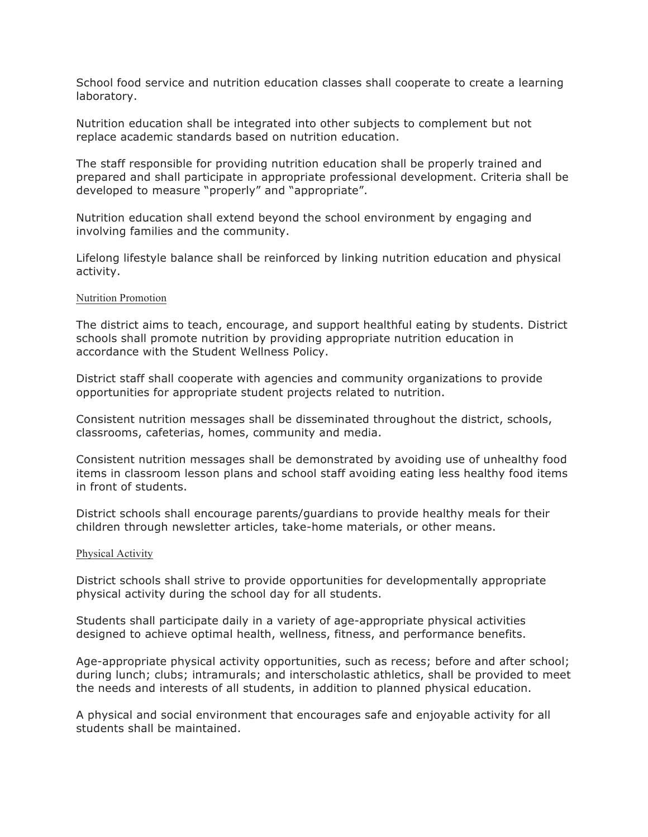School food service and nutrition education classes shall cooperate to create a learning laboratory.

Nutrition education shall be integrated into other subjects to complement but not replace academic standards based on nutrition education.

The staff responsible for providing nutrition education shall be properly trained and prepared and shall participate in appropriate professional development. Criteria shall be developed to measure "properly" and "appropriate".

Nutrition education shall extend beyond the school environment by engaging and involving families and the community.

Lifelong lifestyle balance shall be reinforced by linking nutrition education and physical activity.

#### Nutrition Promotion

The district aims to teach, encourage, and support healthful eating by students. District schools shall promote nutrition by providing appropriate nutrition education in accordance with the Student Wellness Policy.

District staff shall cooperate with agencies and community organizations to provide opportunities for appropriate student projects related to nutrition.

Consistent nutrition messages shall be disseminated throughout the district, schools, classrooms, cafeterias, homes, community and media.

Consistent nutrition messages shall be demonstrated by avoiding use of unhealthy food items in classroom lesson plans and school staff avoiding eating less healthy food items in front of students.

District schools shall encourage parents/guardians to provide healthy meals for their children through newsletter articles, take-home materials, or other means.

#### Physical Activity

District schools shall strive to provide opportunities for developmentally appropriate physical activity during the school day for all students.

Students shall participate daily in a variety of age-appropriate physical activities designed to achieve optimal health, wellness, fitness, and performance benefits.

Age-appropriate physical activity opportunities, such as recess; before and after school; during lunch; clubs; intramurals; and interscholastic athletics, shall be provided to meet the needs and interests of all students, in addition to planned physical education.

A physical and social environment that encourages safe and enjoyable activity for all students shall be maintained.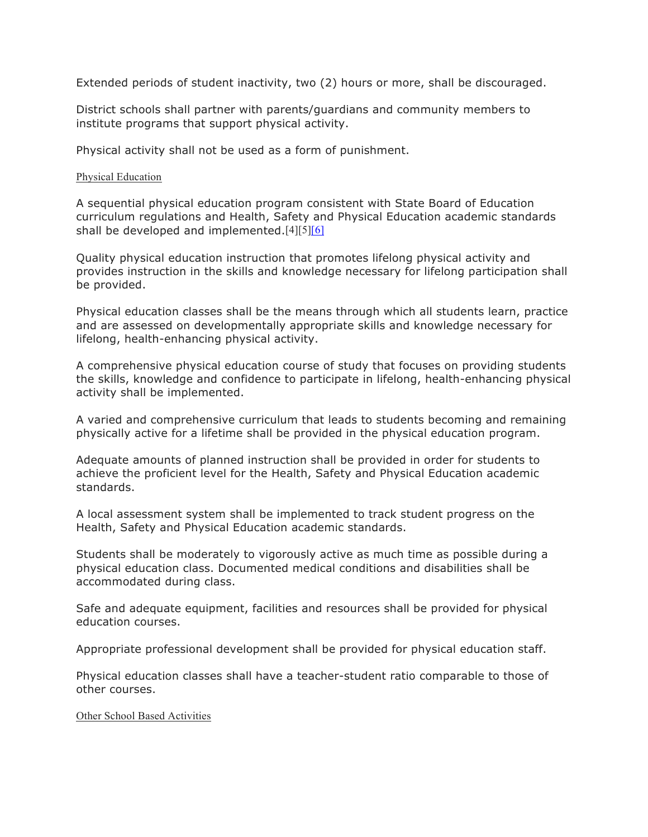Extended periods of student inactivity, two (2) hours or more, shall be discouraged.

District schools shall partner with parents/guardians and community members to institute programs that support physical activity.

Physical activity shall not be used as a form of punishment.

### Physical Education

A sequential physical education program consistent with State Board of Education curriculum regulations and Health, Safety and Physical Education academic standards shall be developed and implemented. $[4][5][6]$ 

Quality physical education instruction that promotes lifelong physical activity and provides instruction in the skills and knowledge necessary for lifelong participation shall be provided.

Physical education classes shall be the means through which all students learn, practice and are assessed on developmentally appropriate skills and knowledge necessary for lifelong, health-enhancing physical activity.

A comprehensive physical education course of study that focuses on providing students the skills, knowledge and confidence to participate in lifelong, health-enhancing physical activity shall be implemented.

A varied and comprehensive curriculum that leads to students becoming and remaining physically active for a lifetime shall be provided in the physical education program.

Adequate amounts of planned instruction shall be provided in order for students to achieve the proficient level for the Health, Safety and Physical Education academic standards.

A local assessment system shall be implemented to track student progress on the Health, Safety and Physical Education academic standards.

Students shall be moderately to vigorously active as much time as possible during a physical education class. Documented medical conditions and disabilities shall be accommodated during class.

Safe and adequate equipment, facilities and resources shall be provided for physical education courses.

Appropriate professional development shall be provided for physical education staff.

Physical education classes shall have a teacher-student ratio comparable to those of other courses.

Other School Based Activities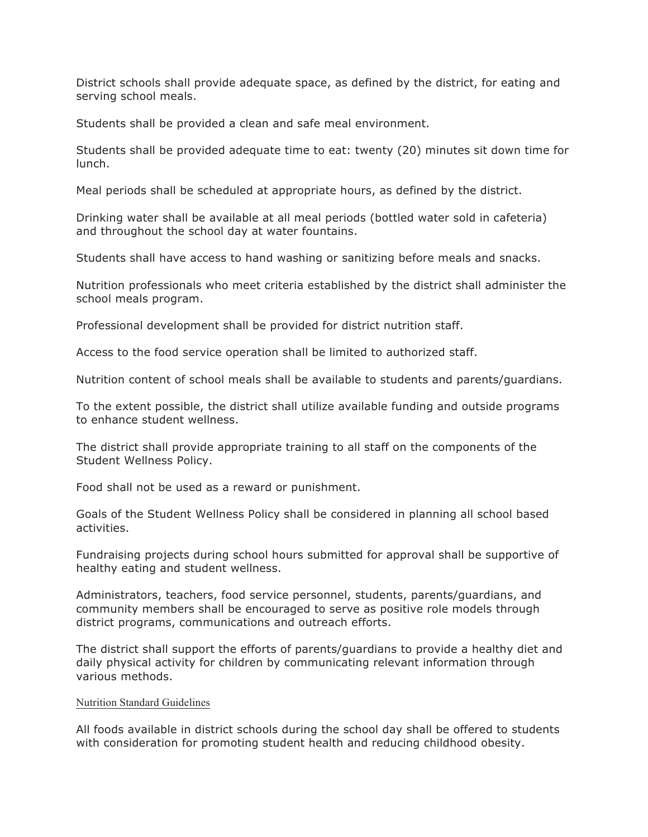District schools shall provide adequate space, as defined by the district, for eating and serving school meals.

Students shall be provided a clean and safe meal environment.

Students shall be provided adequate time to eat: twenty (20) minutes sit down time for lunch.

Meal periods shall be scheduled at appropriate hours, as defined by the district.

Drinking water shall be available at all meal periods (bottled water sold in cafeteria) and throughout the school day at water fountains.

Students shall have access to hand washing or sanitizing before meals and snacks.

Nutrition professionals who meet criteria established by the district shall administer the school meals program.

Professional development shall be provided for district nutrition staff.

Access to the food service operation shall be limited to authorized staff.

Nutrition content of school meals shall be available to students and parents/guardians.

To the extent possible, the district shall utilize available funding and outside programs to enhance student wellness.

The district shall provide appropriate training to all staff on the components of the Student Wellness Policy.

Food shall not be used as a reward or punishment.

Goals of the Student Wellness Policy shall be considered in planning all school based activities.

Fundraising projects during school hours submitted for approval shall be supportive of healthy eating and student wellness.

Administrators, teachers, food service personnel, students, parents/guardians, and community members shall be encouraged to serve as positive role models through district programs, communications and outreach efforts.

The district shall support the efforts of parents/guardians to provide a healthy diet and daily physical activity for children by communicating relevant information through various methods.

#### Nutrition Standard Guidelines

All foods available in district schools during the school day shall be offered to students with consideration for promoting student health and reducing childhood obesity.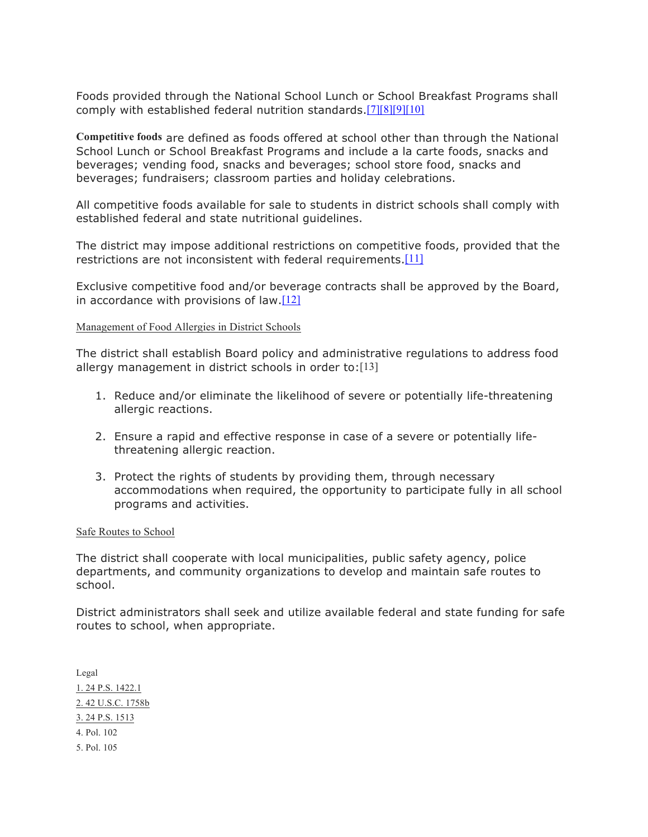Foods provided through the National School Lunch or School Breakfast Programs shall comply with established federal nutrition standards.[7][8][9][10]

**Competitive foods** are defined as foods offered at school other than through the National School Lunch or School Breakfast Programs and include a la carte foods, snacks and beverages; vending food, snacks and beverages; school store food, snacks and beverages; fundraisers; classroom parties and holiday celebrations.

All competitive foods available for sale to students in district schools shall comply with established federal and state nutritional guidelines.

The district may impose additional restrictions on competitive foods, provided that the restrictions are not inconsistent with federal requirements.<sup>[11]</sup>

Exclusive competitive food and/or beverage contracts shall be approved by the Board, in accordance with provisions of law. $[12]$ 

### Management of Food Allergies in District Schools

The district shall establish Board policy and administrative regulations to address food allergy management in district schools in order to:[13]

- 1. Reduce and/or eliminate the likelihood of severe or potentially life-threatening allergic reactions.
- 2. Ensure a rapid and effective response in case of a severe or potentially lifethreatening allergic reaction.
- 3. Protect the rights of students by providing them, through necessary accommodations when required, the opportunity to participate fully in all school programs and activities.

#### Safe Routes to School

The district shall cooperate with local municipalities, public safety agency, police departments, and community organizations to develop and maintain safe routes to school.

District administrators shall seek and utilize available federal and state funding for safe routes to school, when appropriate.

Legal 1. 24 P.S. 1422.1 2. 42 U.S.C. 1758b 3. 24 P.S. 1513 4. Pol. 102 5. Pol. 105